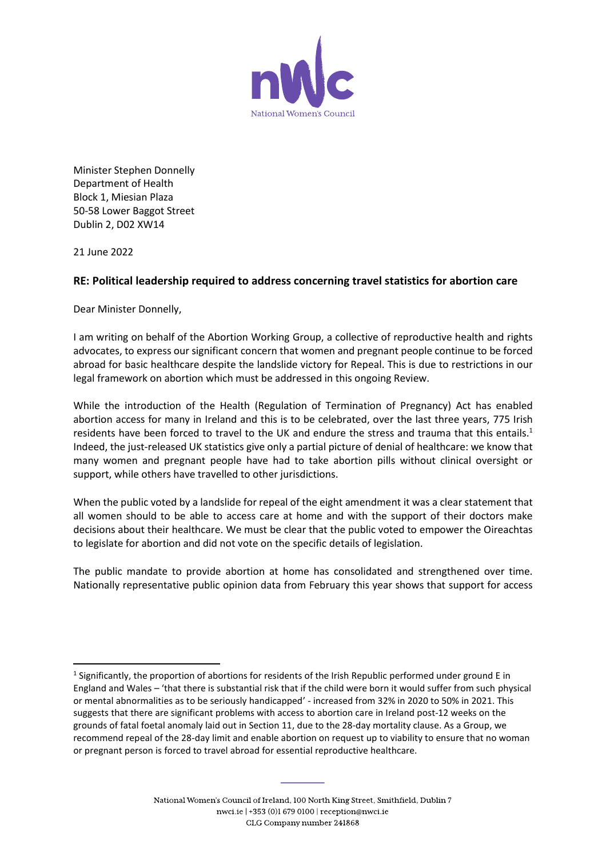

Minister Stephen Donnelly Department of Health Block 1, Miesian Plaza 50-58 Lower Baggot Street Dublin 2, D02 XW14

21 June 2022

## **RE: Political leadership required to address concerning travel statistics for abortion care**

Dear Minister Donnelly,

I am writing on behalf of the Abortion Working Group, a collective of reproductive health and rights advocates, to express our significant concern that women and pregnant people continue to be forced abroad for basic healthcare despite the landslide victory for Repeal. This is due to restrictions in our legal framework on abortion which must be addressed in this ongoing Review.

While the introduction of the Health (Regulation of Termination of Pregnancy) Act has enabled abortion access for many in Ireland and this is to be celebrated, over the last three years, 775 Irish residents have been forced to travel to the UK and endure the stress and trauma that this entails.<sup>1</sup> Indeed, the just-released UK statistics give only a partial picture of denial of healthcare: we know that many women and pregnant people have had to take abortion pills without clinical oversight or support, while others have travelled to other jurisdictions.

When the public voted by a landslide for repeal of the eight amendment it was a clear statement that all women should to be able to access care at home and with the support of their doctors make decisions about their healthcare. We must be clear that the public voted to empower the Oireachtas to legislate for abortion and did not vote on the specific details of legislation.

The public mandate to provide abortion at home has consolidated and strengthened over time. Nationally representative public opinion data from February this year shows that support for access

<sup>&</sup>lt;sup>1</sup> Significantly, the proportion of abortions for residents of the Irish Republic performed under ground E in England and Wales – 'that there is substantial risk that if the child were born it would suffer from such physical or mental abnormalities as to be seriously handicapped' - increased from 32% in 2020 to 50% in 2021. This suggests that there are significant problems with access to abortion care in Ireland post-12 weeks on the grounds of fatal foetal anomaly laid out in Section 11, due to the 28-day mortality clause. As a Group, we recommend repeal of the 28-day limit and enable abortion on request up to viability to ensure that no woman or pregnant person is forced to travel abroad for essential reproductive healthcare.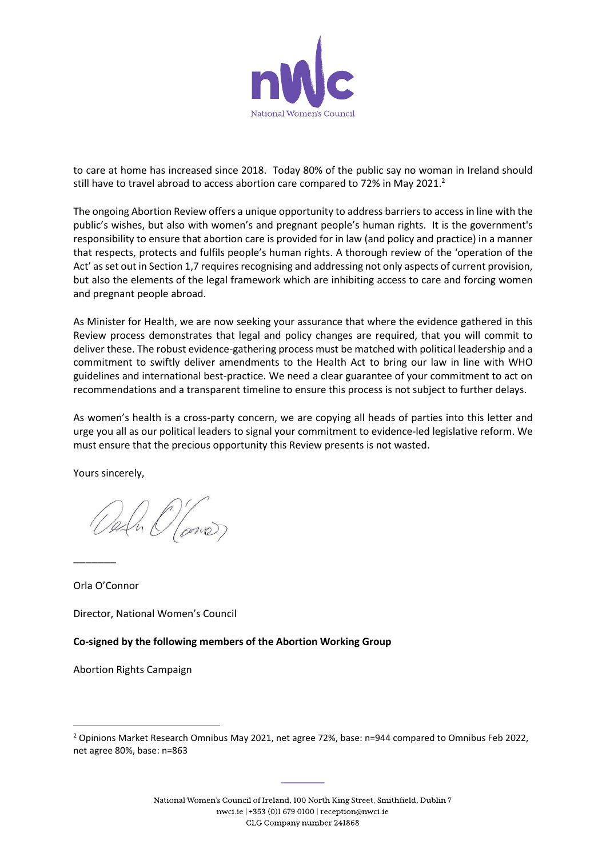

to care at home has increased since 2018. Today 80% of the public say no woman in Ireland should still have to travel abroad to access abortion care compared to 72% in May 2021.<sup>2</sup>

The ongoing Abortion Review offers a unique opportunity to address barriers to access in line with the public's wishes, but also with women's and pregnant people's human rights. It is the government's responsibility to ensure that abortion care is provided for in law (and policy and practice) in a manner that respects, protects and fulfils people's human rights. A thorough review of the 'operation of the Act' as set out in Section 1,7 requires recognising and addressing not only aspects of current provision, but also the elements of the legal framework which are inhibiting access to care and forcing women and pregnant people abroad.

As Minister for Health, we are now seeking your assurance that where the evidence gathered in this Review process demonstrates that legal and policy changes are required, that you will commit to deliver these. The robust evidence-gathering process must be matched with political leadership and a commitment to swiftly deliver amendments to the Health Act to bring our law in line with WHO guidelines and international best-practice. We need a clear guarantee of your commitment to act on recommendations and a transparent timeline to ensure this process is not subject to further delays.

As women's health is a cross-party concern, we are copying all heads of parties into this letter and urge you all as our political leaders to signal your commitment to evidence-led legislative reform. We must ensure that the precious opportunity this Review presents is not wasted.

Yours sincerely,

Orla O'Connor

 $\overline{\phantom{a}}$ 

Director, National Women's Council

**Co-signed by the following members of the Abortion Working Group**

Abortion Rights Campaign

<sup>&</sup>lt;sup>2</sup> Opinions Market Research Omnibus May 2021, net agree 72%, base: n=944 compared to Omnibus Feb 2022, net agree 80%, base: n=863